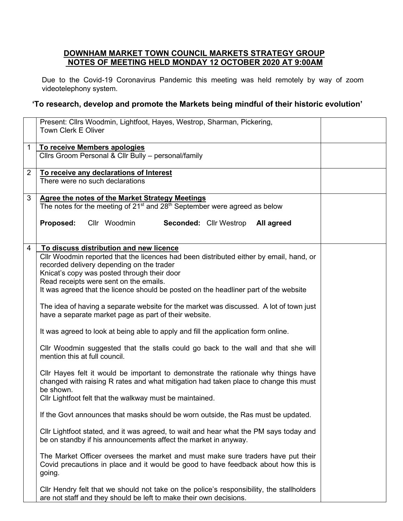## **DOWNHAM MARKET TOWN COUNCIL MARKETS STRATEGY GROUP NOTES OF MEETING HELD MONDAY 12 OCTOBER 2020 AT 9:00AM**

Due to the Covid-19 Coronavirus Pandemic this meeting was held remotely by way of zoom videotelephony system.

## **'To research, develop and promote the Markets being mindful of their historic evolution'**

|                | Present: Cllrs Woodmin, Lightfoot, Hayes, Westrop, Sharman, Pickering,<br><b>Town Clerk E Oliver</b>                                                                                                                                                                                                                                                            |  |
|----------------|-----------------------------------------------------------------------------------------------------------------------------------------------------------------------------------------------------------------------------------------------------------------------------------------------------------------------------------------------------------------|--|
| 1              | To receive Members apologies<br>Cllrs Groom Personal & Cllr Bully - personal/family                                                                                                                                                                                                                                                                             |  |
| $\overline{2}$ | To receive any declarations of Interest<br>There were no such declarations                                                                                                                                                                                                                                                                                      |  |
| 3              | <b>Agree the notes of the Market Strategy Meetings</b><br>The notes for the meeting of 21 <sup>st</sup> and 28 <sup>th</sup> September were agreed as below                                                                                                                                                                                                     |  |
|                | Cllr Woodmin<br>Proposed:<br><b>Seconded: Cllr Westrop</b><br>All agreed                                                                                                                                                                                                                                                                                        |  |
| 4              | To discuss distribution and new licence<br>Cllr Woodmin reported that the licences had been distributed either by email, hand, or<br>recorded delivery depending on the trader<br>Knicat's copy was posted through their door<br>Read receipts were sent on the emails.<br>It was agreed that the licence should be posted on the headliner part of the website |  |
|                | The idea of having a separate website for the market was discussed. A lot of town just<br>have a separate market page as part of their website.                                                                                                                                                                                                                 |  |
|                | It was agreed to look at being able to apply and fill the application form online.                                                                                                                                                                                                                                                                              |  |
|                | CIIr Woodmin suggested that the stalls could go back to the wall and that she will<br>mention this at full council.                                                                                                                                                                                                                                             |  |
|                | CIIr Hayes felt it would be important to demonstrate the rationale why things have<br>changed with raising R rates and what mitigation had taken place to change this must<br>be shown.                                                                                                                                                                         |  |
|                | Cllr Lightfoot felt that the walkway must be maintained.                                                                                                                                                                                                                                                                                                        |  |
|                | If the Govt announces that masks should be worn outside, the Ras must be updated.                                                                                                                                                                                                                                                                               |  |
|                | CIIr Lightfoot stated, and it was agreed, to wait and hear what the PM says today and<br>be on standby if his announcements affect the market in anyway.                                                                                                                                                                                                        |  |
|                | The Market Officer oversees the market and must make sure traders have put their<br>Covid precautions in place and it would be good to have feedback about how this is<br>going.                                                                                                                                                                                |  |
|                | CIIr Hendry felt that we should not take on the police's responsibility, the stallholders<br>are not staff and they should be left to make their own decisions.                                                                                                                                                                                                 |  |